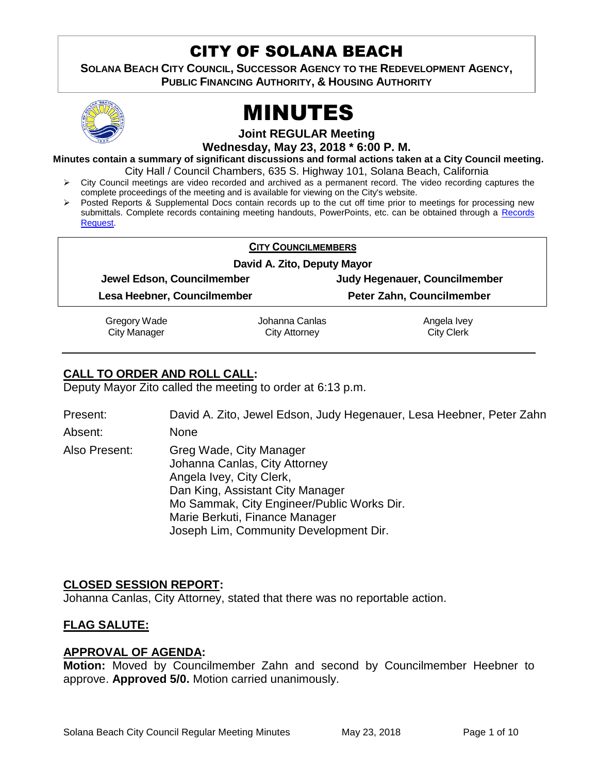# CITY OF SOLANA BEACH

**SOLANA BEACH CITY COUNCIL, SUCCESSOR AGENCY TO THE REDEVELOPMENT AGENCY, PUBLIC FINANCING AUTHORITY, & HOUSING AUTHORITY** 



# MINUTES

**Joint REGULAR Meeting**

**Wednesday, May 23, 2018 \* 6:00 P. M.**

**Minutes contain a summary of significant discussions and formal actions taken at a City Council meeting.** City Hall / Council Chambers, 635 S. Highway 101, Solana Beach, California

- City Council meetings are video recorded and archived as a permanent record. The video recording captures the complete proceedings of the meeting and is available for viewing on the City's website.
- > Posted Reports & Supplemental Docs contain records up to the cut off time prior to meetings for processing new submittals. Complete records containing meeting handouts, PowerPoints, etc. can be obtained through a [Records](http://www.ci.solana-beach.ca.us/index.asp?SEC=F5D45D10-70CE-4291-A27C-7BD633FC6742&Type=B_BASIC)  [Request.](http://www.ci.solana-beach.ca.us/index.asp?SEC=F5D45D10-70CE-4291-A27C-7BD633FC6742&Type=B_BASIC)

| <b>CITY COUNCILMEMBERS</b>  |                             |                               |
|-----------------------------|-----------------------------|-------------------------------|
|                             | David A. Zito, Deputy Mayor |                               |
| Jewel Edson, Councilmember  |                             | Judy Hegenauer, Councilmember |
| Lesa Heebner, Councilmember |                             | Peter Zahn, Councilmember     |
| <b>Gregory Wade</b>         | Johanna Canlas              | Angela Ivey                   |
| <b>City Manager</b>         | <b>City Attorney</b>        | <b>City Clerk</b>             |

# **CALL TO ORDER AND ROLL CALL:**

Deputy Mayor Zito called the meeting to order at 6:13 p.m.

Present: David A. Zito, Jewel Edson, Judy Hegenauer, Lesa Heebner, Peter Zahn Absent: None Also Present: Greg Wade, City Manager Johanna Canlas, City Attorney Angela Ivey, City Clerk, Dan King, Assistant City Manager Mo Sammak, City Engineer/Public Works Dir. Marie Berkuti, Finance Manager

Joseph Lim, Community Development Dir.

# **CLOSED SESSION REPORT:**

Johanna Canlas, City Attorney, stated that there was no reportable action.

# **FLAG SALUTE:**

#### **APPROVAL OF AGENDA:**

**Motion:** Moved by Councilmember Zahn and second by Councilmember Heebner to approve. **Approved 5/0.** Motion carried unanimously.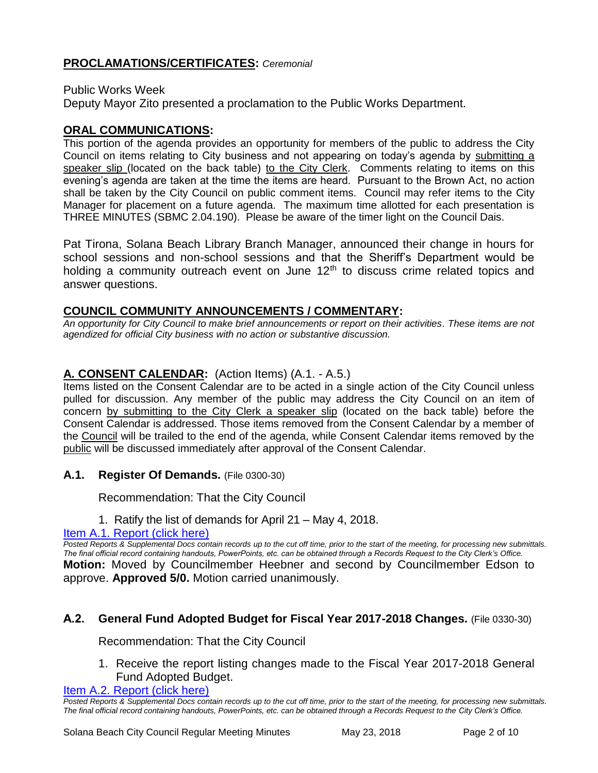# **PROCLAMATIONS/CERTIFICATES:** *Ceremonial*

Public Works Week

Deputy Mayor Zito presented a proclamation to the Public Works Department.

#### **ORAL COMMUNICATIONS:**

This portion of the agenda provides an opportunity for members of the public to address the City Council on items relating to City business and not appearing on today's agenda by submitting a speaker slip (located on the back table) to the City Clerk. Comments relating to items on this evening's agenda are taken at the time the items are heard. Pursuant to the Brown Act, no action shall be taken by the City Council on public comment items. Council may refer items to the City Manager for placement on a future agenda. The maximum time allotted for each presentation is THREE MINUTES (SBMC 2.04.190). Please be aware of the timer light on the Council Dais.

Pat Tirona, Solana Beach Library Branch Manager, announced their change in hours for school sessions and non-school sessions and that the Sheriff's Department would be holding a community outreach event on June  $12<sup>th</sup>$  to discuss crime related topics and answer questions.

#### **COUNCIL COMMUNITY ANNOUNCEMENTS / COMMENTARY:**

*An opportunity for City Council to make brief announcements or report on their activities. These items are not agendized for official City business with no action or substantive discussion.* 

# **A. CONSENT CALENDAR:** (Action Items) (A.1. - A.5.)

Items listed on the Consent Calendar are to be acted in a single action of the City Council unless pulled for discussion. Any member of the public may address the City Council on an item of concern by submitting to the City Clerk a speaker slip (located on the back table) before the Consent Calendar is addressed. Those items removed from the Consent Calendar by a member of the Council will be trailed to the end of the agenda, while Consent Calendar items removed by the public will be discussed immediately after approval of the Consent Calendar.

**A.1. Register Of Demands.** (File 0300-30)

Recommendation: That the City Council

1. Ratify the list of demands for April 21 – May 4, 2018.

#### [Item A.1. Report \(click here\)](https://solanabeach.govoffice3.com/vertical/Sites/%7B840804C2-F869-4904-9AE3-720581350CE7%7D/uploads/Item_A.1._Report_(click_here)_5-23-18.PDF)

*Posted Reports & Supplemental Docs contain records up to the cut off time, prior to the start of the meeting, for processing new submittals. The final official record containing handouts, PowerPoints, etc. can be obtained through a Records Request to the City Clerk's Office.* **Motion:** Moved by Councilmember Heebner and second by Councilmember Edson to approve. **Approved 5/0.** Motion carried unanimously.

#### **A.2. General Fund Adopted Budget for Fiscal Year 2017-2018 Changes.** (File 0330-30)

Recommendation: That the City Council

1. Receive the report listing changes made to the Fiscal Year 2017-2018 General Fund Adopted Budget.

[Item A.2. Report \(click here\)](https://solanabeach.govoffice3.com/vertical/Sites/%7B840804C2-F869-4904-9AE3-720581350CE7%7D/uploads/Item_A.2._Report_(click_here)_5-23-18.PDF)

*Posted Reports & Supplemental Docs contain records up to the cut off time, prior to the start of the meeting, for processing new submittals. The final official record containing handouts, PowerPoints, etc. can be obtained through a Records Request to the City Clerk's Office.*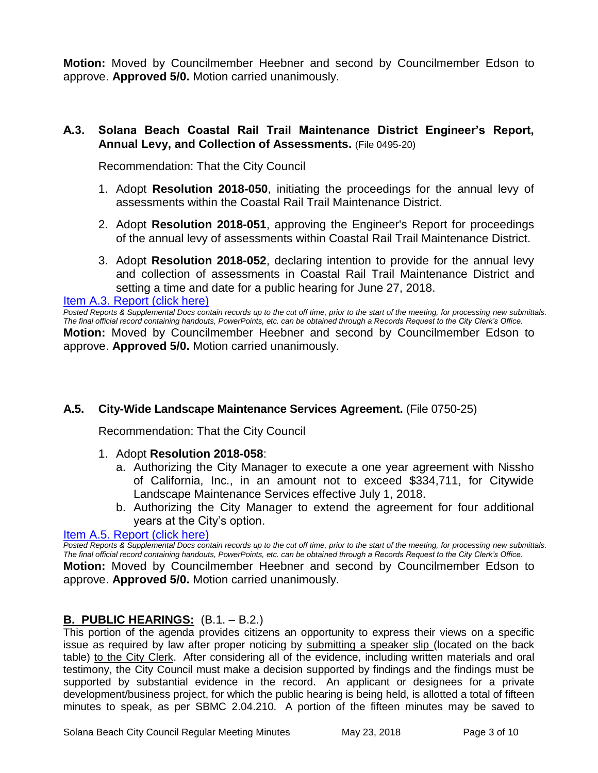**Motion:** Moved by Councilmember Heebner and second by Councilmember Edson to approve. **Approved 5/0.** Motion carried unanimously.

#### **A.3. Solana Beach Coastal Rail Trail Maintenance District Engineer's Report, Annual Levy, and Collection of Assessments.** (File 0495-20)

Recommendation: That the City Council

- 1. Adopt **Resolution 2018-050**, initiating the proceedings for the annual levy of assessments within the Coastal Rail Trail Maintenance District.
- 2. Adopt **Resolution 2018-051**, approving the Engineer's Report for proceedings of the annual levy of assessments within Coastal Rail Trail Maintenance District.
- 3. Adopt **Resolution 2018-052**, declaring intention to provide for the annual levy and collection of assessments in Coastal Rail Trail Maintenance District and setting a time and date for a public hearing for June 27, 2018.

[Item A.3. Report \(click here\)](https://solanabeach.govoffice3.com/vertical/Sites/%7B840804C2-F869-4904-9AE3-720581350CE7%7D/uploads/Item_A.3._Report_(click_here)_05-23-18.PDF)

*Posted Reports & Supplemental Docs contain records up to the cut off time, prior to the start of the meeting, for processing new submittals. The final official record containing handouts, PowerPoints, etc. can be obtained through a Records Request to the City Clerk's Office.* **Motion:** Moved by Councilmember Heebner and second by Councilmember Edson to approve. **Approved 5/0.** Motion carried unanimously.

#### **A.5. City-Wide Landscape Maintenance Services Agreement.** (File 0750-25)

Recommendation: That the City Council

- 1. Adopt **Resolution 2018-058**:
	- a. Authorizing the City Manager to execute a one year agreement with Nissho of California, Inc., in an amount not to exceed \$334,711, for Citywide Landscape Maintenance Services effective July 1, 2018.
	- b. Authorizing the City Manager to extend the agreement for four additional years at the City's option.

#### [Item A.5. Report \(click here\)](https://solanabeach.govoffice3.com/vertical/Sites/%7B840804C2-F869-4904-9AE3-720581350CE7%7D/uploads/Item_A.5._Report_(click_here)_5-23-18.PDF)

*Posted Reports & Supplemental Docs contain records up to the cut off time, prior to the start of the meeting, for processing new submittals. The final official record containing handouts, PowerPoints, etc. can be obtained through a Records Request to the City Clerk's Office.*

**Motion:** Moved by Councilmember Heebner and second by Councilmember Edson to approve. **Approved 5/0.** Motion carried unanimously.

#### **B. PUBLIC HEARINGS:** (B.1. – B.2.)

This portion of the agenda provides citizens an opportunity to express their views on a specific issue as required by law after proper noticing by submitting a speaker slip (located on the back table) to the City Clerk. After considering all of the evidence, including written materials and oral testimony, the City Council must make a decision supported by findings and the findings must be supported by substantial evidence in the record. An applicant or designees for a private development/business project, for which the public hearing is being held, is allotted a total of fifteen minutes to speak, as per SBMC 2.04.210. A portion of the fifteen minutes may be saved to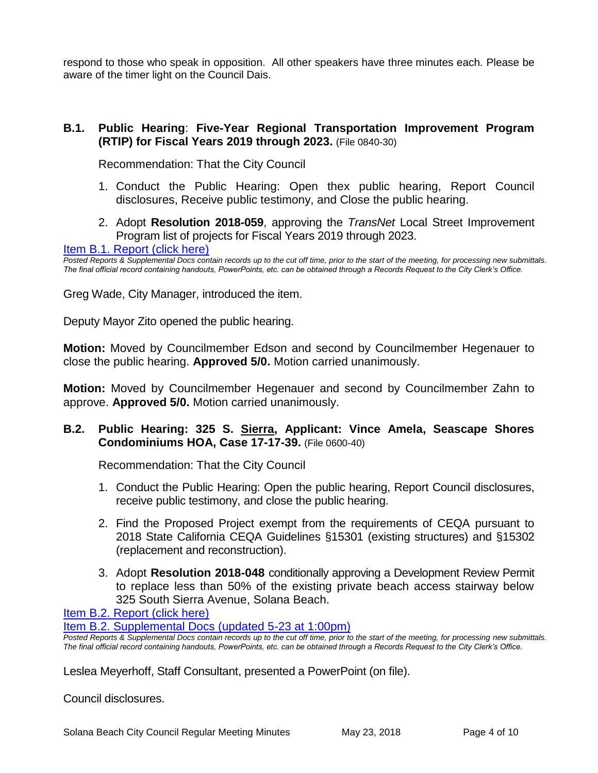respond to those who speak in opposition. All other speakers have three minutes each. Please be aware of the timer light on the Council Dais.

#### **B.1. Public Hearing**: **Five-Year Regional Transportation Improvement Program (RTIP) for Fiscal Years 2019 through 2023.** (File 0840-30)

Recommendation: That the City Council

- 1. Conduct the Public Hearing: Open thex public hearing, Report Council disclosures, Receive public testimony, and Close the public hearing.
- 2. Adopt **Resolution 2018-059**, approving the *TransNet* Local Street Improvement Program list of projects for Fiscal Years 2019 through 2023.

#### [Item B.1. Report \(click here\)](https://solanabeach.govoffice3.com/vertical/Sites/%7B840804C2-F869-4904-9AE3-720581350CE7%7D/uploads/Item_B.1._Report_(click_here)_5-23-18.PDF)

*Posted Reports & Supplemental Docs contain records up to the cut off time, prior to the start of the meeting, for processing new submittals. The final official record containing handouts, PowerPoints, etc. can be obtained through a Records Request to the City Clerk's Office.*

Greg Wade, City Manager, introduced the item.

Deputy Mayor Zito opened the public hearing.

**Motion:** Moved by Councilmember Edson and second by Councilmember Hegenauer to close the public hearing. **Approved 5/0.** Motion carried unanimously.

**Motion:** Moved by Councilmember Hegenauer and second by Councilmember Zahn to approve. **Approved 5/0.** Motion carried unanimously.

#### **B.2. Public Hearing: 325 S. Sierra, Applicant: Vince Amela, Seascape Shores Condominiums HOA, Case 17-17-39.** (File 0600-40)

Recommendation: That the City Council

- 1. Conduct the Public Hearing: Open the public hearing, Report Council disclosures, receive public testimony, and close the public hearing.
- 2. Find the Proposed Project exempt from the requirements of CEQA pursuant to 2018 State California CEQA Guidelines §15301 (existing structures) and §15302 (replacement and reconstruction).
- 3. Adopt **Resolution 2018-048** conditionally approving a Development Review Permit to replace less than 50% of the existing private beach access stairway below 325 South Sierra Avenue, Solana Beach.

[Item B.2. Report \(click here\)](https://solanabeach.govoffice3.com/vertical/Sites/%7B840804C2-F869-4904-9AE3-720581350CE7%7D/uploads/Item_B.2._Report_(click_here)_5-23-18.PDF)

[Item B.2. Supplemental Docs \(updated 5-23](https://solanabeach.govoffice3.com/vertical/Sites/%7B840804C2-F869-4904-9AE3-720581350CE7%7D/uploads/B.2._Supplemental_Docs_(Updated_5-23_at_1pm).pdf) at 1:00pm)

*Posted Reports & Supplemental Docs contain records up to the cut off time, prior to the start of the meeting, for processing new submittals. The final official record containing handouts, PowerPoints, etc. can be obtained through a Records Request to the City Clerk's Office.*

Leslea Meyerhoff, Staff Consultant, presented a PowerPoint (on file).

Council disclosures.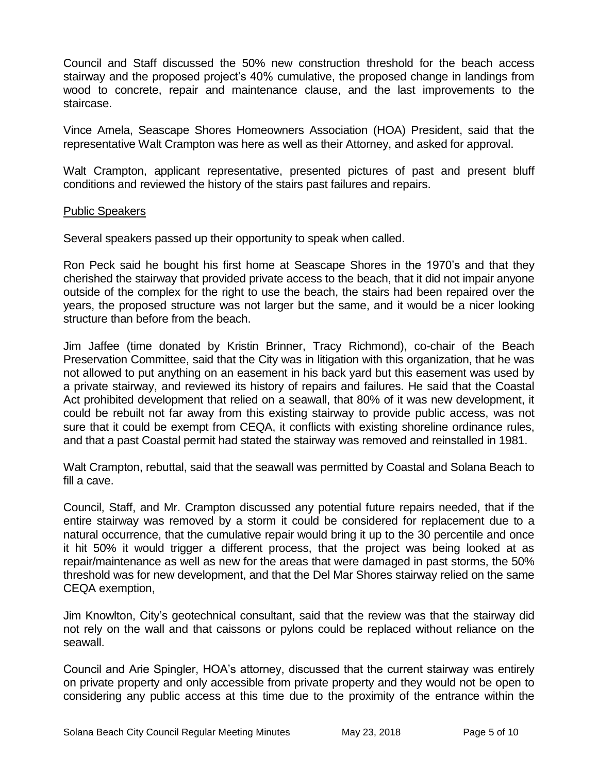Council and Staff discussed the 50% new construction threshold for the beach access stairway and the proposed project's 40% cumulative, the proposed change in landings from wood to concrete, repair and maintenance clause, and the last improvements to the staircase.

Vince Amela, Seascape Shores Homeowners Association (HOA) President, said that the representative Walt Crampton was here as well as their Attorney, and asked for approval.

Walt Crampton, applicant representative, presented pictures of past and present bluff conditions and reviewed the history of the stairs past failures and repairs.

#### Public Speakers

Several speakers passed up their opportunity to speak when called.

Ron Peck said he bought his first home at Seascape Shores in the 1970's and that they cherished the stairway that provided private access to the beach, that it did not impair anyone outside of the complex for the right to use the beach, the stairs had been repaired over the years, the proposed structure was not larger but the same, and it would be a nicer looking structure than before from the beach.

Jim Jaffee (time donated by Kristin Brinner, Tracy Richmond), co-chair of the Beach Preservation Committee, said that the City was in litigation with this organization, that he was not allowed to put anything on an easement in his back yard but this easement was used by a private stairway, and reviewed its history of repairs and failures. He said that the Coastal Act prohibited development that relied on a seawall, that 80% of it was new development, it could be rebuilt not far away from this existing stairway to provide public access, was not sure that it could be exempt from CEQA, it conflicts with existing shoreline ordinance rules, and that a past Coastal permit had stated the stairway was removed and reinstalled in 1981.

Walt Crampton, rebuttal, said that the seawall was permitted by Coastal and Solana Beach to fill a cave.

Council, Staff, and Mr. Crampton discussed any potential future repairs needed, that if the entire stairway was removed by a storm it could be considered for replacement due to a natural occurrence, that the cumulative repair would bring it up to the 30 percentile and once it hit 50% it would trigger a different process, that the project was being looked at as repair/maintenance as well as new for the areas that were damaged in past storms, the 50% threshold was for new development, and that the Del Mar Shores stairway relied on the same CEQA exemption,

Jim Knowlton, City's geotechnical consultant, said that the review was that the stairway did not rely on the wall and that caissons or pylons could be replaced without reliance on the seawall.

Council and Arie Spingler, HOA's attorney, discussed that the current stairway was entirely on private property and only accessible from private property and they would not be open to considering any public access at this time due to the proximity of the entrance within the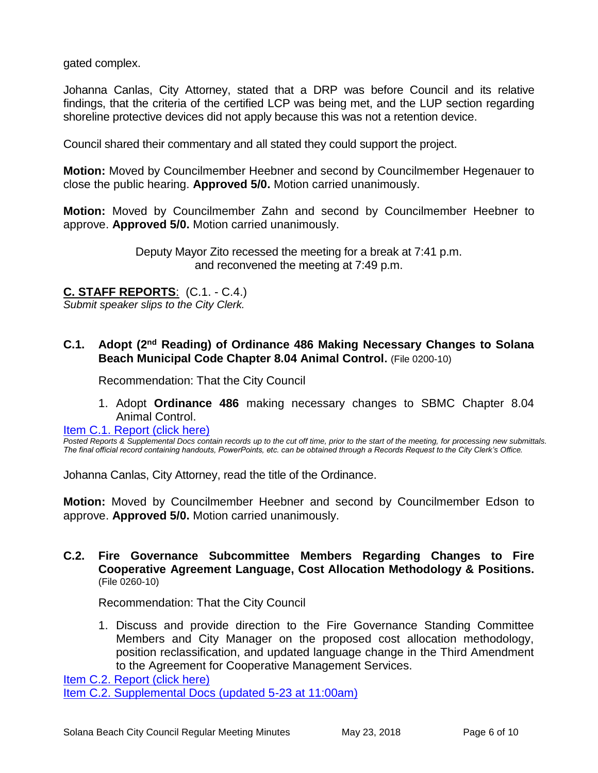gated complex.

Johanna Canlas, City Attorney, stated that a DRP was before Council and its relative findings, that the criteria of the certified LCP was being met, and the LUP section regarding shoreline protective devices did not apply because this was not a retention device.

Council shared their commentary and all stated they could support the project.

**Motion:** Moved by Councilmember Heebner and second by Councilmember Hegenauer to close the public hearing. **Approved 5/0.** Motion carried unanimously.

**Motion:** Moved by Councilmember Zahn and second by Councilmember Heebner to approve. **Approved 5/0.** Motion carried unanimously.

> Deputy Mayor Zito recessed the meeting for a break at 7:41 p.m. and reconvened the meeting at 7:49 p.m.

# **C. STAFF REPORTS**: (C.1. - C.4.)

*Submit speaker slips to the City Clerk.*

#### **C.1. Adopt (2nd Reading) of Ordinance 486 Making Necessary Changes to Solana Beach Municipal Code Chapter 8.04 Animal Control.** (File 0200-10)

Recommendation: That the City Council

1. Adopt **Ordinance 486** making necessary changes to SBMC Chapter 8.04 Animal Control.

[Item C.1. Report \(click here\)](https://solanabeach.govoffice3.com/vertical/Sites/%7B840804C2-F869-4904-9AE3-720581350CE7%7D/uploads/Item_C.1._Report_(click_here)_5-23-18.PDF)

*Posted Reports & Supplemental Docs contain records up to the cut off time, prior to the start of the meeting, for processing new submittals. The final official record containing handouts, PowerPoints, etc. can be obtained through a Records Request to the City Clerk's Office.*

Johanna Canlas, City Attorney, read the title of the Ordinance.

**Motion:** Moved by Councilmember Heebner and second by Councilmember Edson to approve. **Approved 5/0.** Motion carried unanimously.

#### **C.2. Fire Governance Subcommittee Members Regarding Changes to Fire Cooperative Agreement Language, Cost Allocation Methodology & Positions.** (File 0260-10)

Recommendation: That the City Council

1. Discuss and provide direction to the Fire Governance Standing Committee Members and City Manager on the proposed cost allocation methodology, position reclassification, and updated language change in the Third Amendment to the Agreement for Cooperative Management Services.

[Item C.2. Report \(click here\)](https://solanabeach.govoffice3.com/vertical/Sites/%7B840804C2-F869-4904-9AE3-720581350CE7%7D/uploads/Item_C.2._Report_(click_here)_05-23-18.pdf) [Item C.2. Supplemental Docs \(updated 5-23 at 11:00am\)](https://solanabeach.govoffice3.com/vertical/Sites/%7B840804C2-F869-4904-9AE3-720581350CE7%7D/uploads/C.2._Supplemental_Docs_(Updated_5-23_at_11am).pdf)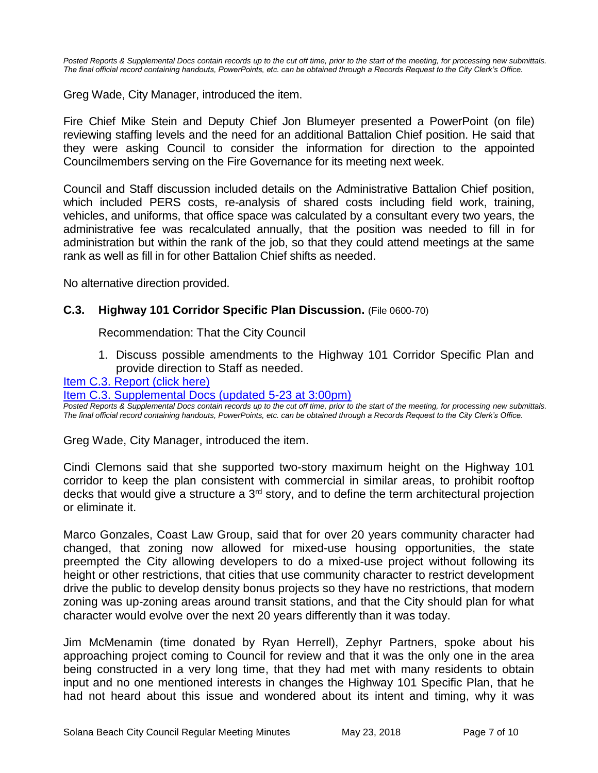*Posted Reports & Supplemental Docs contain records up to the cut off time, prior to the start of the meeting, for processing new submittals. The final official record containing handouts, PowerPoints, etc. can be obtained through a Records Request to the City Clerk's Office.*

Greg Wade, City Manager, introduced the item.

Fire Chief Mike Stein and Deputy Chief Jon Blumeyer presented a PowerPoint (on file) reviewing staffing levels and the need for an additional Battalion Chief position. He said that they were asking Council to consider the information for direction to the appointed Councilmembers serving on the Fire Governance for its meeting next week.

Council and Staff discussion included details on the Administrative Battalion Chief position, which included PERS costs, re-analysis of shared costs including field work, training, vehicles, and uniforms, that office space was calculated by a consultant every two years, the administrative fee was recalculated annually, that the position was needed to fill in for administration but within the rank of the job, so that they could attend meetings at the same rank as well as fill in for other Battalion Chief shifts as needed.

No alternative direction provided.

#### **C.3. Highway 101 Corridor Specific Plan Discussion.** (File 0600-70)

Recommendation: That the City Council

1. Discuss possible amendments to the Highway 101 Corridor Specific Plan and provide direction to Staff as needed.

#### [Item C.3. Report \(click here\)](https://solanabeach.govoffice3.com/vertical/Sites/%7B840804C2-F869-4904-9AE3-720581350CE7%7D/uploads/Item_C.3._Report_(click_here)_05-23-18.PDF)

[Item C.3. Supplemental Docs \(updated](https://solanabeach.govoffice3.com/vertical/Sites/%7B840804C2-F869-4904-9AE3-720581350CE7%7D/uploads/C.3.a._Supplemental_Docs_(Updated_5-23_at_3pm).pdf) 5-23 at 3:00pm)

*Posted Reports & Supplemental Docs contain records up to the cut off time, prior to the start of the meeting, for processing new submittals. The final official record containing handouts, PowerPoints, etc. can be obtained through a Records Request to the City Clerk's Office.*

Greg Wade, City Manager, introduced the item.

Cindi Clemons said that she supported two-story maximum height on the Highway 101 corridor to keep the plan consistent with commercial in similar areas, to prohibit rooftop decks that would give a structure a 3<sup>rd</sup> story, and to define the term architectural projection or eliminate it.

Marco Gonzales, Coast Law Group, said that for over 20 years community character had changed, that zoning now allowed for mixed-use housing opportunities, the state preempted the City allowing developers to do a mixed-use project without following its height or other restrictions, that cities that use community character to restrict development drive the public to develop density bonus projects so they have no restrictions, that modern zoning was up-zoning areas around transit stations, and that the City should plan for what character would evolve over the next 20 years differently than it was today.

Jim McMenamin (time donated by Ryan Herrell), Zephyr Partners, spoke about his approaching project coming to Council for review and that it was the only one in the area being constructed in a very long time, that they had met with many residents to obtain input and no one mentioned interests in changes the Highway 101 Specific Plan, that he had not heard about this issue and wondered about its intent and timing, why it was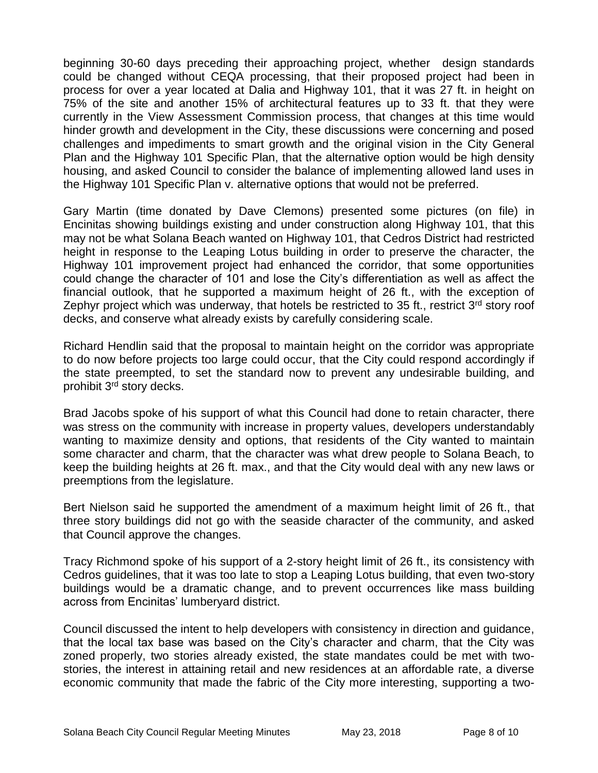beginning 30-60 days preceding their approaching project, whether design standards could be changed without CEQA processing, that their proposed project had been in process for over a year located at Dalia and Highway 101, that it was 27 ft. in height on 75% of the site and another 15% of architectural features up to 33 ft. that they were currently in the View Assessment Commission process, that changes at this time would hinder growth and development in the City, these discussions were concerning and posed challenges and impediments to smart growth and the original vision in the City General Plan and the Highway 101 Specific Plan, that the alternative option would be high density housing, and asked Council to consider the balance of implementing allowed land uses in the Highway 101 Specific Plan v. alternative options that would not be preferred.

Gary Martin (time donated by Dave Clemons) presented some pictures (on file) in Encinitas showing buildings existing and under construction along Highway 101, that this may not be what Solana Beach wanted on Highway 101, that Cedros District had restricted height in response to the Leaping Lotus building in order to preserve the character, the Highway 101 improvement project had enhanced the corridor, that some opportunities could change the character of 101 and lose the City's differentiation as well as affect the financial outlook, that he supported a maximum height of 26 ft., with the exception of Zephyr project which was underway, that hotels be restricted to 35 ft., restrict  $3<sup>rd</sup>$  story roof decks, and conserve what already exists by carefully considering scale.

Richard Hendlin said that the proposal to maintain height on the corridor was appropriate to do now before projects too large could occur, that the City could respond accordingly if the state preempted, to set the standard now to prevent any undesirable building, and prohibit 3<sup>rd</sup> story decks.

Brad Jacobs spoke of his support of what this Council had done to retain character, there was stress on the community with increase in property values, developers understandably wanting to maximize density and options, that residents of the City wanted to maintain some character and charm, that the character was what drew people to Solana Beach, to keep the building heights at 26 ft. max., and that the City would deal with any new laws or preemptions from the legislature.

Bert Nielson said he supported the amendment of a maximum height limit of 26 ft., that three story buildings did not go with the seaside character of the community, and asked that Council approve the changes.

Tracy Richmond spoke of his support of a 2-story height limit of 26 ft., its consistency with Cedros guidelines, that it was too late to stop a Leaping Lotus building, that even two-story buildings would be a dramatic change, and to prevent occurrences like mass building across from Encinitas' lumberyard district.

Council discussed the intent to help developers with consistency in direction and guidance, that the local tax base was based on the City's character and charm, that the City was zoned properly, two stories already existed, the state mandates could be met with twostories, the interest in attaining retail and new residences at an affordable rate, a diverse economic community that made the fabric of the City more interesting, supporting a two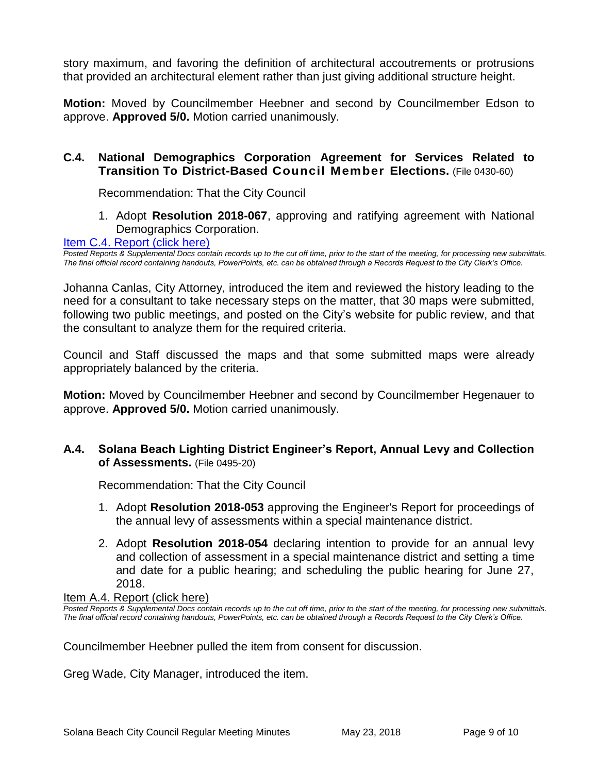story maximum, and favoring the definition of architectural accoutrements or protrusions that provided an architectural element rather than just giving additional structure height.

**Motion:** Moved by Councilmember Heebner and second by Councilmember Edson to approve. **Approved 5/0.** Motion carried unanimously.

#### **C.4. National Demographics Corporation Agreement for Services Related to Transition To District-Based Council Member Elections.** (File 0430-60)

Recommendation: That the City Council

1. Adopt **Resolution 2018-067**, approving and ratifying agreement with National Demographics Corporation.

#### [Item C.4. Report \(click here\)](https://solanabeach.govoffice3.com/vertical/Sites/%7B840804C2-F869-4904-9AE3-720581350CE7%7D/uploads/Item_C.4._Report_(click_here)_05-23-18.PDF)

*Posted Reports & Supplemental Docs contain records up to the cut off time, prior to the start of the meeting, for processing new submittals. The final official record containing handouts, PowerPoints, etc. can be obtained through a Records Request to the City Clerk's Office.*

Johanna Canlas, City Attorney, introduced the item and reviewed the history leading to the need for a consultant to take necessary steps on the matter, that 30 maps were submitted, following two public meetings, and posted on the City's website for public review, and that the consultant to analyze them for the required criteria.

Council and Staff discussed the maps and that some submitted maps were already appropriately balanced by the criteria.

**Motion:** Moved by Councilmember Heebner and second by Councilmember Hegenauer to approve. **Approved 5/0.** Motion carried unanimously.

#### **A.4. Solana Beach Lighting District Engineer's Report, Annual Levy and Collection of Assessments.** (File 0495-20)

Recommendation: That the City Council

- 1. Adopt **Resolution 2018-053** approving the Engineer's Report for proceedings of the annual levy of assessments within a special maintenance district.
- 2. Adopt **Resolution 2018-054** declaring intention to provide for an annual levy and collection of assessment in a special maintenance district and setting a time and date for a public hearing; and scheduling the public hearing for June 27, 2018.

#### [Item A.4. Report \(click here\)](https://solanabeach.govoffice3.com/vertical/Sites/%7B840804C2-F869-4904-9AE3-720581350CE7%7D/uploads/Item_A.4._Report_(click_here)_5-23-18.PDF)

*Posted Reports & Supplemental Docs contain records up to the cut off time, prior to the start of the meeting, for processing new submittals. The final official record containing handouts, PowerPoints, etc. can be obtained through a Records Request to the City Clerk's Office.*

Councilmember Heebner pulled the item from consent for discussion.

Greg Wade, City Manager, introduced the item.